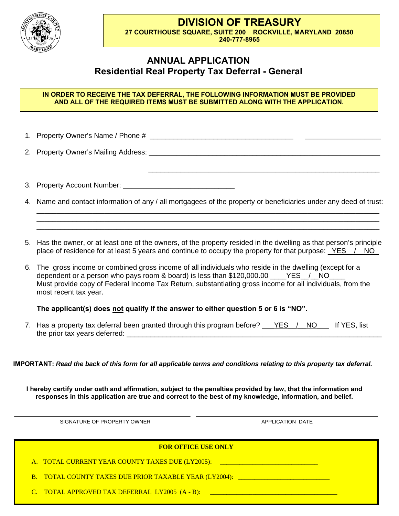**DIVISION OF TREASURY** 

\_\_\_\_\_\_\_\_\_\_\_\_\_\_\_\_\_\_\_\_\_\_\_\_\_\_\_\_\_\_\_\_\_\_\_\_\_\_\_\_\_\_\_\_\_\_\_\_\_\_\_\_\_\_\_\_\_\_



**27 COURTHOUSE SQUARE, SUITE 200 ROCKVILLE, MARYLAND 20850 240-777-8965**

## **ANNUAL APPLICATION Residential Real Property Tax Deferral - General**

## **IN ORDER TO RECEIVE THE TAX DEFERRAL, THE FOLLOWING INFORMATION MUST BE PROVIDED AND ALL OF THE REQUIRED ITEMS MUST BE SUBMITTED ALONG WITH THE APPLICATION.**

1. Property Owner's Name / Phone # \_\_\_\_\_\_\_\_\_\_\_\_\_\_\_\_\_\_\_\_\_\_\_\_\_\_\_\_\_\_\_\_\_\_\_\_ \_\_\_\_\_\_\_\_\_\_\_\_\_\_\_\_\_\_\_

2. Property Owner's Mailing Address: **Quarter and Container and Containers** and Containers and Containers and Con

3. Property Account Number: \_\_\_\_\_\_\_\_\_\_\_\_\_\_\_\_\_\_\_\_\_\_\_\_\_\_\_\_

4. Name and contact information of any / all mortgagees of the property or beneficiaries under any deed of trust: \_\_\_\_\_\_\_\_\_\_\_\_\_\_\_\_\_\_\_\_\_\_\_\_\_\_\_\_\_\_\_\_\_\_\_\_\_\_\_\_\_\_\_\_\_\_\_\_\_\_\_\_\_\_\_\_\_\_\_\_\_\_\_\_\_\_\_\_\_\_\_\_\_\_\_\_\_\_\_\_\_\_\_\_\_\_

\_\_\_\_\_\_\_\_\_\_\_\_\_\_\_\_\_\_\_\_\_\_\_\_\_\_\_\_\_\_\_\_\_\_\_\_\_\_\_\_\_\_\_\_\_\_\_\_\_\_\_\_\_\_\_\_\_\_\_\_\_\_\_\_\_\_\_\_\_\_\_\_\_\_\_\_\_\_\_\_\_\_\_\_\_\_ \_\_\_\_\_\_\_\_\_\_\_\_\_\_\_\_\_\_\_\_\_\_\_\_\_\_\_\_\_\_\_\_\_\_\_\_\_\_\_\_\_\_\_\_\_\_\_\_\_\_\_\_\_\_\_\_\_\_\_\_\_\_\_\_\_\_\_\_\_\_\_\_\_\_\_\_\_\_\_\_\_\_\_\_\_\_

- 5. Has the owner, or at least one of the owners, of the property resided in the dwelling as that person's principle place of residence for at least 5 years and continue to occupy the property for that purpose: YES / NO
- 6. The gross income or combined gross income of all individuals who reside in the dwelling (except for a dependent or a person who pays room & board) is less than  $$120,000.00$   $YES$  / NO Must provide copy of Federal Income Tax Return, substantiating gross income for all individuals, from the most recent tax year.

## **The applicant(s) does not qualify If the answer to either question 5 or 6 is "NO".**

7. Has a property tax deferral been granted through this program before? Cancerof Notcoln 11 YES, list the prior tax years deferred:

**IMPORTANT:** *Read the back of this form for all applicable terms and conditions relating to this property tax deferral.* 

**I hereby certify under oath and affirmation, subject to the penalties provided by law, that the information and responses in this application are true and correct to the best of my knowledge, information, and belief.** 

SIGNATURE OF PROPERTY OWNER APPLICATION DATE

| A. TOTAL CURRENT YEAR COUNTY TAXES DUE (LY2005):<br>B. TOTAL COUNTY TAXES DUE PRIOR TAXABLE YEAR (LY2004): TOTAL COUNTY TAXES | <b>FOR OFFICE USE ONLY</b>                     |  |
|-------------------------------------------------------------------------------------------------------------------------------|------------------------------------------------|--|
|                                                                                                                               |                                                |  |
|                                                                                                                               |                                                |  |
|                                                                                                                               | C. TOTAL APPROVED TAX DEFERRAL LY2005 (A - B): |  |